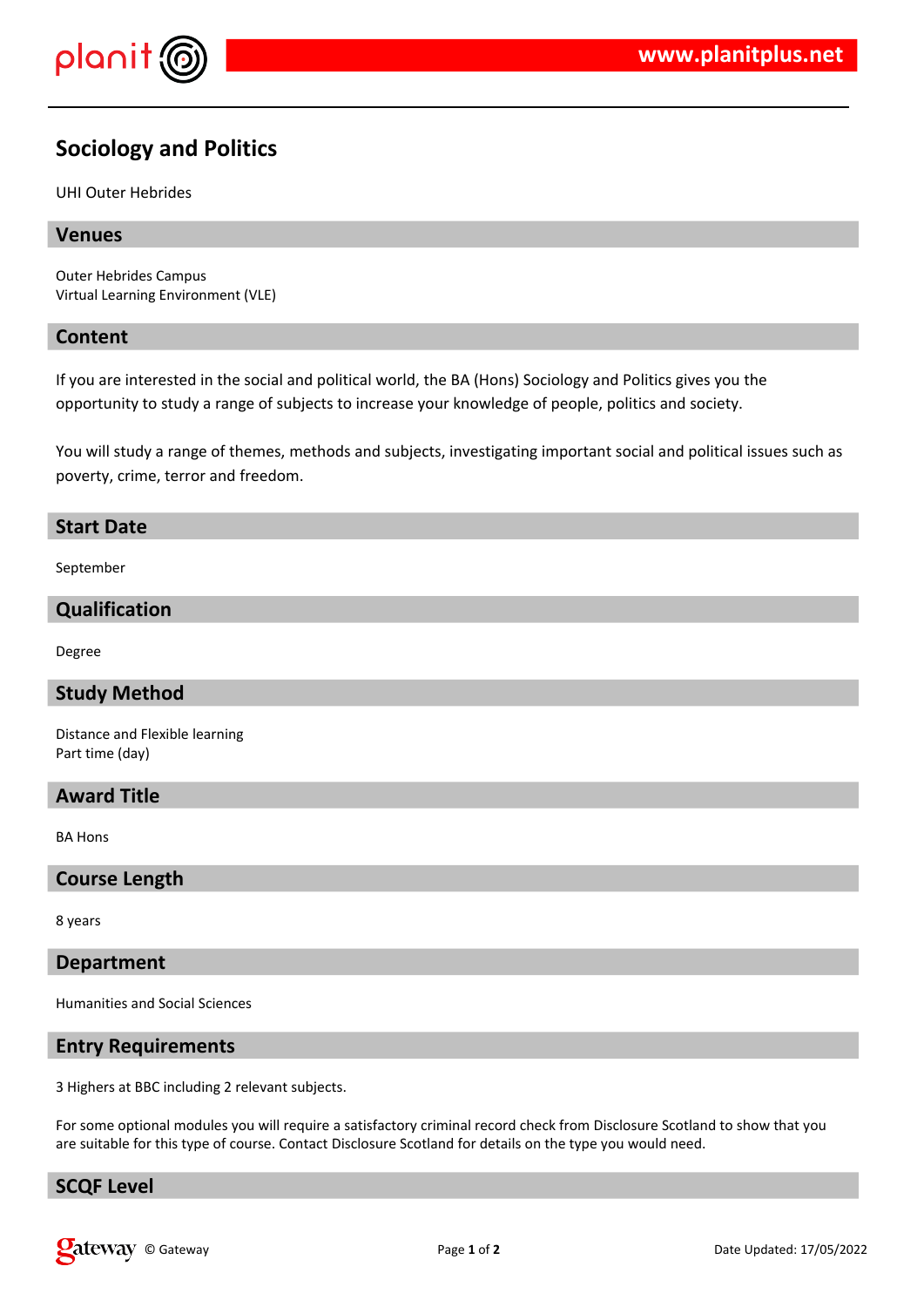

# **Sociology and Politics**

#### UHI Outer Hebrides

# **Venues**

Outer Hebrides Campus Virtual Learning Environment (VLE)

#### **Content**

If you are interested in the social and political world, the BA (Hons) Sociology and Politics gives you the opportunity to study a range of subjects to increase your knowledge of people, politics and society.

You will study a range of themes, methods and subjects, investigating important social and political issues such as poverty, crime, terror and freedom.

#### **Start Date**

September

# **Qualification**

Degree

# **Study Method**

Distance and Flexible learning Part time (day)

#### **Award Title**

BA Hons

#### **Course Length**

8 years

#### **Department**

Humanities and Social Sciences

#### **Entry Requirements**

3 Highers at BBC including 2 relevant subjects.

For some optional modules you will require a satisfactory criminal record check from Disclosure Scotland to show that you are suitable for this type of course. Contact Disclosure Scotland for details on the type you would need.

# **SCQF Level**